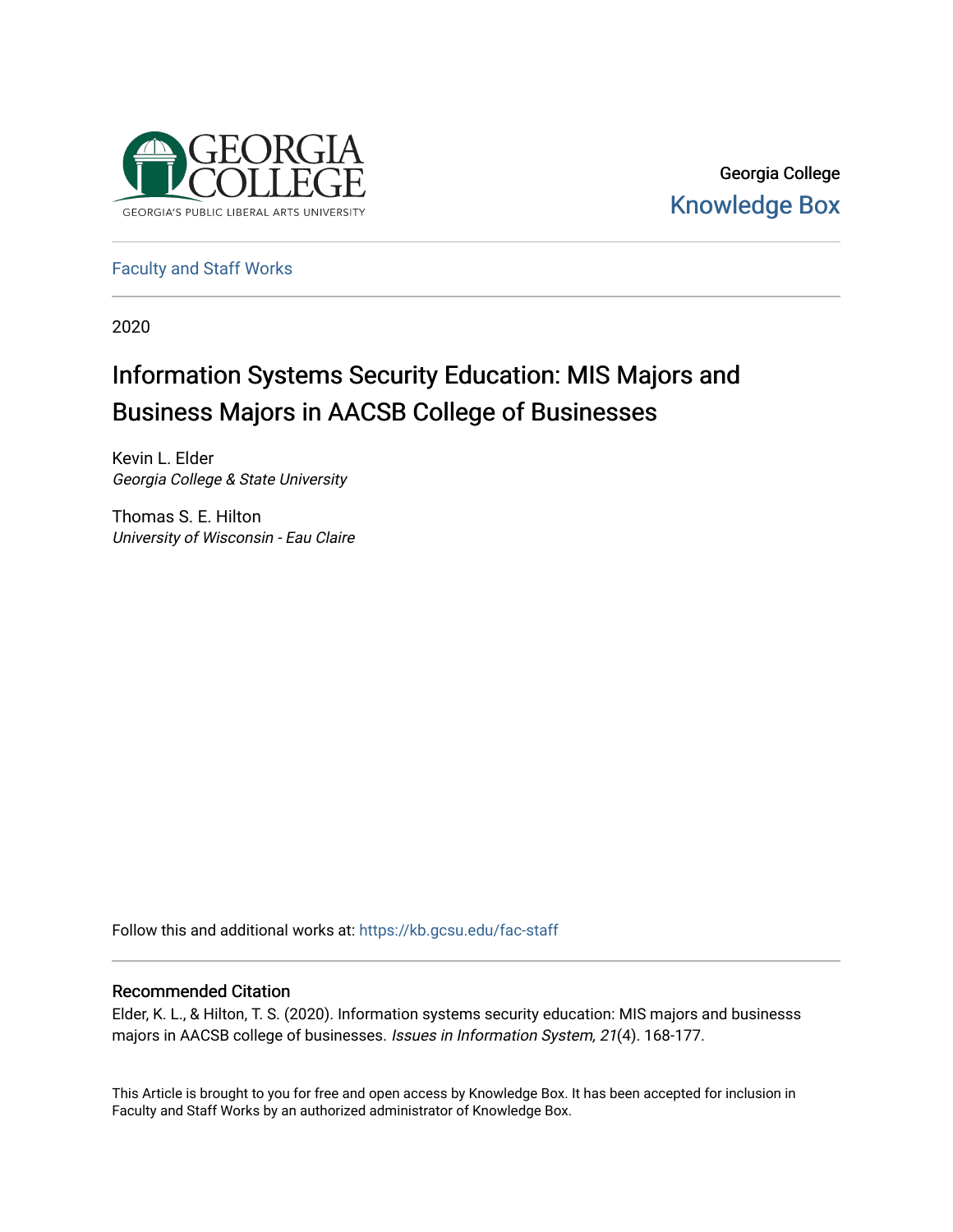

Georgia College [Knowledge Box](https://kb.gcsu.edu/) 

[Faculty and Staff Works](https://kb.gcsu.edu/fac-staff)

2020

# Information Systems Security Education: MIS Majors and Business Majors in AACSB College of Businesses

Kevin L. Elder Georgia College & State University

Thomas S. E. Hilton University of Wisconsin - Eau Claire

Follow this and additional works at: [https://kb.gcsu.edu/fac-staff](https://kb.gcsu.edu/fac-staff?utm_source=kb.gcsu.edu%2Ffac-staff%2F176&utm_medium=PDF&utm_campaign=PDFCoverPages) 

### Recommended Citation

Elder, K. L., & Hilton, T. S. (2020). Information systems security education: MIS majors and businesss majors in AACSB college of businesses. Issues in Information System, 21(4). 168-177.

This Article is brought to you for free and open access by Knowledge Box. It has been accepted for inclusion in Faculty and Staff Works by an authorized administrator of Knowledge Box.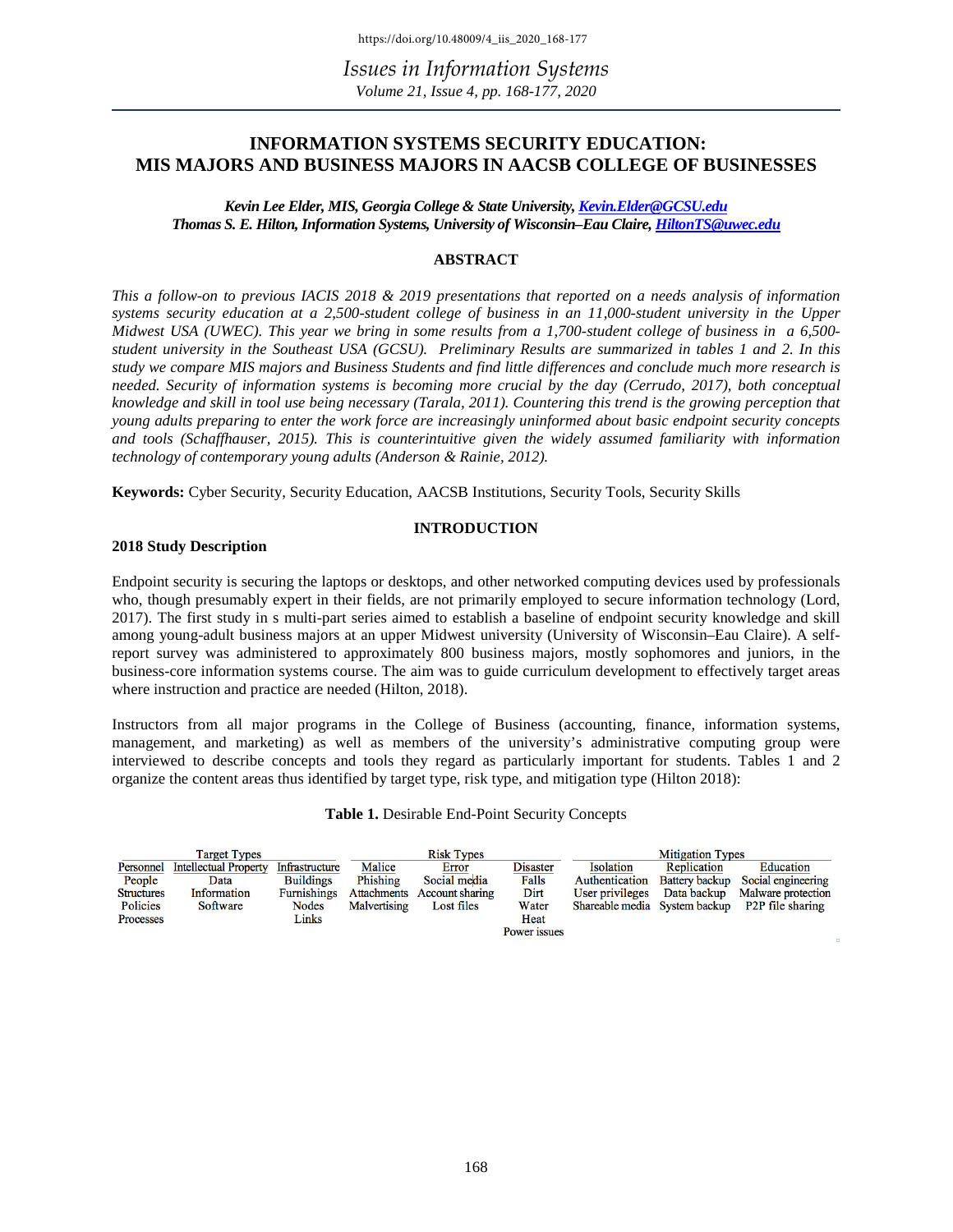### **INFORMATION SYSTEMS SECURITY EDUCATION: MIS MAJORS AND BUSINESS MAJORS IN AACSB COLLEGE OF BUSINESSES**

*Kevin Lee Elder, MIS, Georgia College & State University, [Kevin.Elder@GCSU.edu](mailto:Kevin.Elder@GCSU.edu) Thomas S. E. Hilton, Information Systems, University of Wisconsin–Eau Claire[, HiltonTS@uwec.edu](mailto:HiltonTS@uwec.edu)*

#### **ABSTRACT**

*This a follow-on to previous IACIS 2018 & 2019 presentations that reported on a needs analysis of information systems security education at a 2,500-student college of business in an 11,000-student university in the Upper Midwest USA (UWEC). This year we bring in some results from a 1,700-student college of business in a 6,500 student university in the Southeast USA (GCSU). Preliminary Results are summarized in tables 1 and 2. In this study we compare MIS majors and Business Students and find little differences and conclude much more research is needed. Security of information systems is becoming more crucial by the day (Cerrudo, 2017), both conceptual knowledge and skill in tool use being necessary (Tarala, 2011). Countering this trend is the growing perception that young adults preparing to enter the work force are increasingly uninformed about basic endpoint security concepts and tools (Schaffhauser, 2015). This is counterintuitive given the widely assumed familiarity with information technology of contemporary young adults (Anderson & Rainie, 2012).* 

**Keywords:** Cyber Security, Security Education, AACSB Institutions, Security Tools, Security Skills

#### **INTRODUCTION**

#### **2018 Study Description**

Endpoint security is securing the laptops or desktops, and other networked computing devices used by professionals who, though presumably expert in their fields, are not primarily employed to secure information technology (Lord, 2017). The first study in s multi-part series aimed to establish a baseline of endpoint security knowledge and skill among young-adult business majors at an upper Midwest university (University of Wisconsin–Eau Claire). A selfreport survey was administered to approximately 800 business majors, mostly sophomores and juniors, in the business-core information systems course. The aim was to guide curriculum development to effectively target areas where instruction and practice are needed (Hilton, 2018).

Instructors from all major programs in the College of Business (accounting, finance, information systems, management, and marketing) as well as members of the university's administrative computing group were interviewed to describe concepts and tools they regard as particularly important for students. Tables 1 and 2 organize the content areas thus identified by target type, risk type, and mitigation type (Hilton 2018):

#### **Table 1.** Desirable End-Point Security Concepts

| <b>Target Types</b> |                              |                  | <b>Risk Types</b> |                             |                 | <b>Mitigation Types</b> |                       |                                                |
|---------------------|------------------------------|------------------|-------------------|-----------------------------|-----------------|-------------------------|-----------------------|------------------------------------------------|
| Personnel           | <b>Intellectual Property</b> | Infrastructure   | Malice            | Error                       | <b>Disaster</b> | Isolation               | Replication           | Education                                      |
| People              | Data                         | <b>Buildings</b> | Phishing          | Social media                | Falls           | Authentication          | <b>Battery backup</b> | Social engineering                             |
| <b>Structures</b>   | Information                  | Furnishings      |                   | Attachments Account sharing | Dirt            | User privileges         | Data backup           | Malware protection                             |
| Policies            | Software                     | Nodes            | Malvertising      | Lost files                  | Water           |                         |                       | Shareable media System backup P2P file sharing |
| Processes           |                              | Links            |                   |                             | Heat            |                         |                       |                                                |
|                     |                              |                  |                   |                             | Power issues    |                         |                       |                                                |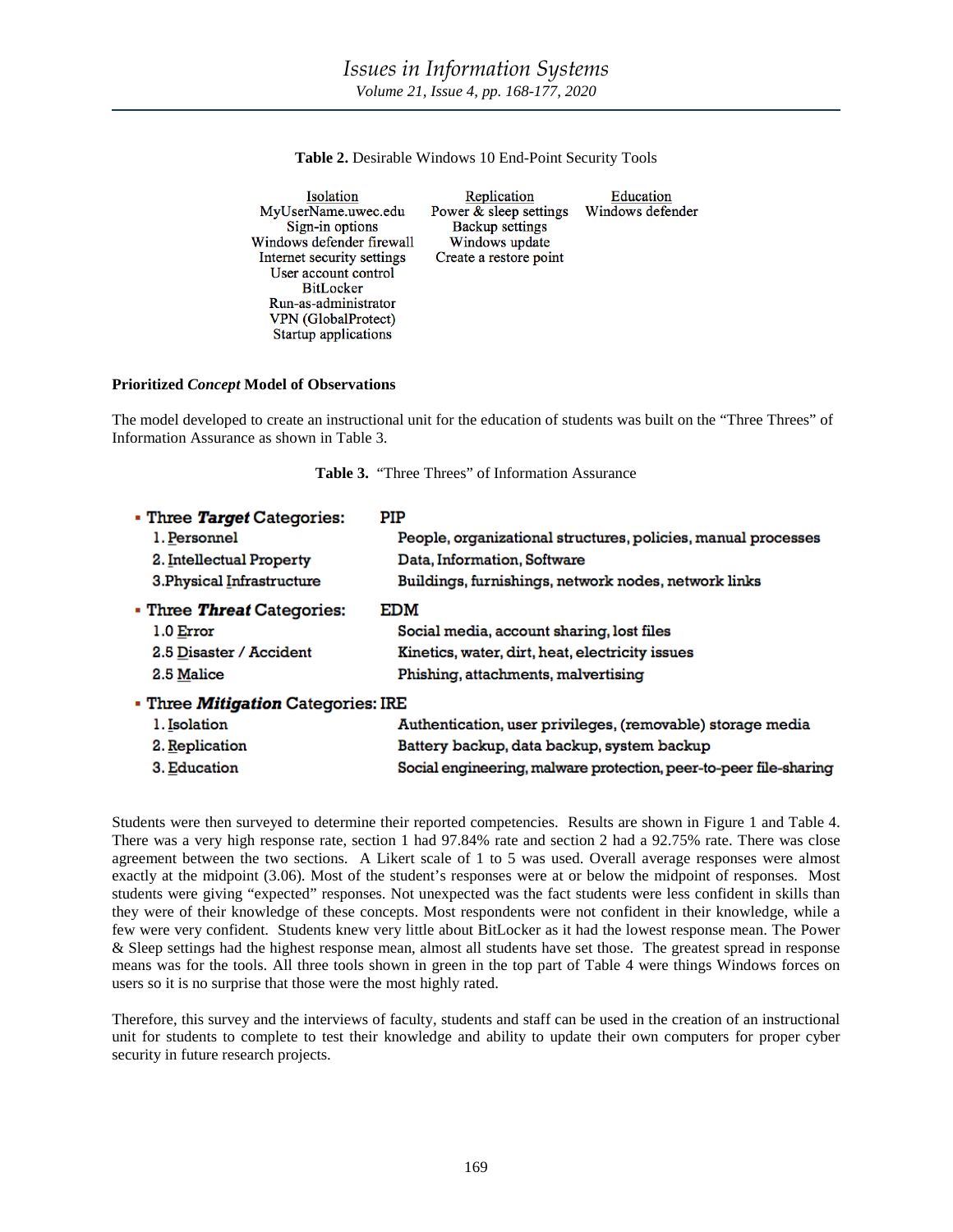| Isolation                  | Replication            | Education        |
|----------------------------|------------------------|------------------|
| MyUserName.uwec.edu        | Power & sleep settings | Windows defender |
| Sign-in options            | <b>Backup settings</b> |                  |
| Windows defender firewall  | Windows update         |                  |
| Internet security settings | Create a restore point |                  |
| User account control       |                        |                  |
| <b>BitLocker</b>           |                        |                  |
| Run-as-administrator       |                        |                  |
| VPN (GlobalProtect)        |                        |                  |

**Table 2.** Desirable Windows 10 End-Point Security Tools

#### **Prioritized** *Concept* **Model of Observations**

Startup applications

The model developed to create an instructional unit for the education of students was built on the "Three Threes" of Information Assurance as shown in Table 3.

| • Three Target Categories:                | PIP                                                               |
|-------------------------------------------|-------------------------------------------------------------------|
| 1. Personnel                              | People, organizational structures, policies, manual processes     |
| 2. Intellectual Property                  | Data, Information, Software                                       |
| 3. Physical Infrastructure                | Buildings, furnishings, network nodes, network links              |
| • Three Threat Categories:                | EDM                                                               |
| 1.0 Error                                 | Social media, account sharing, lost files                         |
| 2.5 Disaster / Accident                   | Kinetics, water, dirt, heat, electricity issues                   |
| 2.5 Malice                                | Phishing, attachments, malvertising                               |
| - Three <i>Mitigation</i> Categories: IRE |                                                                   |
| 1. Isolation                              | Authentication, user privileges, (removable) storage media        |
| 2. Replication                            | Battery backup, data backup, system backup                        |
| 3. Education                              | Social engineering, malware protection, peer-to-peer file-sharing |

**Table 3.** "Three Threes" of Information Assurance

Students were then surveyed to determine their reported competencies. Results are shown in Figure 1 and Table 4. There was a very high response rate, section 1 had 97.84% rate and section 2 had a 92.75% rate. There was close agreement between the two sections. A Likert scale of 1 to 5 was used. Overall average responses were almost exactly at the midpoint (3.06). Most of the student's responses were at or below the midpoint of responses. Most students were giving "expected" responses. Not unexpected was the fact students were less confident in skills than they were of their knowledge of these concepts. Most respondents were not confident in their knowledge, while a few were very confident. Students knew very little about BitLocker as it had the lowest response mean. The Power & Sleep settings had the highest response mean, almost all students have set those. The greatest spread in response means was for the tools. All three tools shown in green in the top part of Table 4 were things Windows forces on users so it is no surprise that those were the most highly rated.

Therefore, this survey and the interviews of faculty, students and staff can be used in the creation of an instructional unit for students to complete to test their knowledge and ability to update their own computers for proper cyber security in future research projects.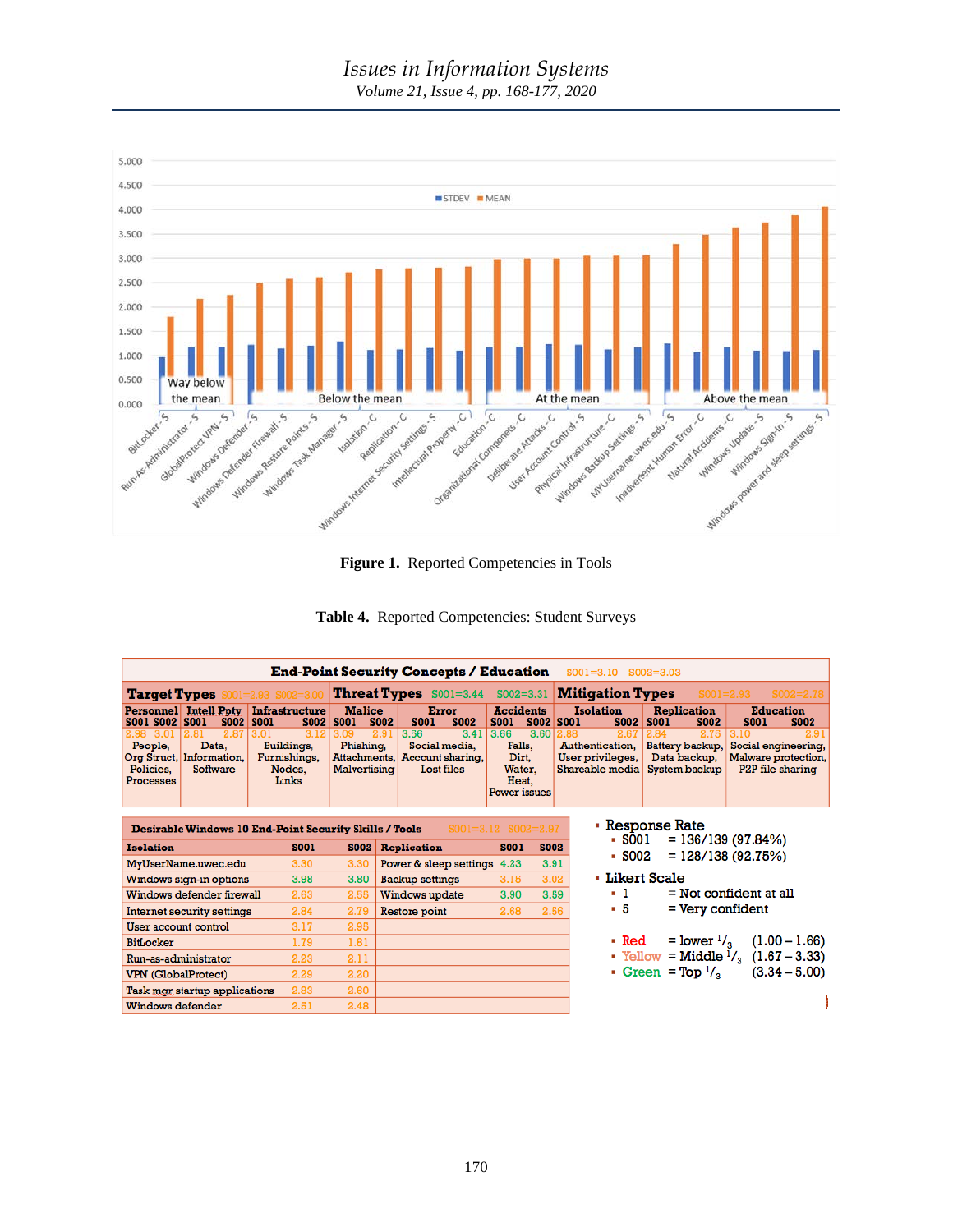# *Issues in Information Systems*

*Volume 21, Issue 4, pp. 168-177, 2020*



**Figure 1.** Reported Competencies in Tools



| $5002 = 3.31$ Mitigation Types<br><b>Threat Types</b> S001=3.44<br>$SO01 = 2.93$<br><b>Target Types</b><br>$01 = 2.93$ SO02=3.0<br><b>Malice</b><br>Personnel Intell Poty<br><b>Infrastructure</b><br>Error<br><b>Accidents</b><br><b>Isolation</b><br><b>Replication</b><br><b>Education</b><br><b>S002</b><br><b>S002</b><br>S001 S002 S001<br><b>SOO2 SOO1</b><br><b>S002</b><br><b>S001</b><br><b>S002</b><br><b>S001</b><br><b>S001</b><br><b>S002 S001</b><br><b>S002</b><br><b>S001</b><br><b>S001</b><br><b>S002</b><br>2.87<br>3.12<br>2.91<br>3.56<br>3.66<br>3.60<br>3.41<br>2.67<br>2.75<br>3.10<br>2.98<br>3.01<br>2.81<br>3.01<br>3.09<br>2.88<br>2.84<br>People.<br>Buildings,<br>Phishing.<br>Social media,<br>Falls.<br>Authentication.<br>Data.<br>Battery backup,<br>Account sharing,<br>Org Struct,<br>Information,<br>Furnishings,<br>Attachments,<br>Dirt.<br>User privileges,<br>Data backup,<br>Shareable media<br>System backup<br>Policies,<br>Software<br>Lost files<br>Nodes.<br>Malvertising<br>Water.<br>Links<br>Processes<br>Heat.<br>Power issues<br>• Response Rate<br>$SOO1=3.12$ $SOO2=2.97$<br>Desirable Windows 10 End-Point Security Skills / Tools<br>$= 136/139(97.84%)$<br>- SOO1<br><b>Isolation</b><br><b>S001</b><br><b>S002</b><br><b>Replication</b><br><b>S001</b><br><b>S002</b><br>$-5002$<br>$= 128/138(92.75%)$<br>3.30<br>MyUserName.uwec.edu<br>3.30<br>Power & sleep settings<br>3.91<br>4.23<br>• Likert Scale<br>3.02<br>3.98<br>Windows sign-in options<br>3.80<br><b>Backup settings</b><br>3.15<br>- 1<br>$=$ Not confident at all<br>Windows defender firewall<br>2.63<br>2.55<br>3.59<br>Windows update<br>3.90<br>- 5<br>$=$ Very confident<br>2.84<br>2.79<br>2.68<br>2.56<br>Internet security settings<br>Restore point<br>3.17<br>2.95<br>User account control<br>$=$ lower $\frac{1}{3}$<br>• Red<br>1.79<br>1.81<br>BitLocker<br>• Yellow = Middle $\frac{1}{3}$ (1.67 – 3.33)<br>2.11<br>Run-as-administrator<br>2.23<br>Green = $Top1/3$<br>2.20<br><b>VPN</b> (GlobalProtect)<br>2.29 | <b>End-Point Security Concepts / Education</b><br>$SOO1 = 3.10$<br>$SOO2 = 3.03$ |  |  |  |  |  |               |  |                                                                                     |
|---------------------------------------------------------------------------------------------------------------------------------------------------------------------------------------------------------------------------------------------------------------------------------------------------------------------------------------------------------------------------------------------------------------------------------------------------------------------------------------------------------------------------------------------------------------------------------------------------------------------------------------------------------------------------------------------------------------------------------------------------------------------------------------------------------------------------------------------------------------------------------------------------------------------------------------------------------------------------------------------------------------------------------------------------------------------------------------------------------------------------------------------------------------------------------------------------------------------------------------------------------------------------------------------------------------------------------------------------------------------------------------------------------------------------------------------------------------------------------------------------------------------------------------------------------------------------------------------------------------------------------------------------------------------------------------------------------------------------------------------------------------------------------------------------------------------------------------------------------------------------------------------------------------------------------------------------------------------------------------------------------------------------------------------------------------|----------------------------------------------------------------------------------|--|--|--|--|--|---------------|--|-------------------------------------------------------------------------------------|
|                                                                                                                                                                                                                                                                                                                                                                                                                                                                                                                                                                                                                                                                                                                                                                                                                                                                                                                                                                                                                                                                                                                                                                                                                                                                                                                                                                                                                                                                                                                                                                                                                                                                                                                                                                                                                                                                                                                                                                                                                                                               |                                                                                  |  |  |  |  |  | $SOO2 = 2.78$ |  |                                                                                     |
|                                                                                                                                                                                                                                                                                                                                                                                                                                                                                                                                                                                                                                                                                                                                                                                                                                                                                                                                                                                                                                                                                                                                                                                                                                                                                                                                                                                                                                                                                                                                                                                                                                                                                                                                                                                                                                                                                                                                                                                                                                                               |                                                                                  |  |  |  |  |  |               |  |                                                                                     |
|                                                                                                                                                                                                                                                                                                                                                                                                                                                                                                                                                                                                                                                                                                                                                                                                                                                                                                                                                                                                                                                                                                                                                                                                                                                                                                                                                                                                                                                                                                                                                                                                                                                                                                                                                                                                                                                                                                                                                                                                                                                               |                                                                                  |  |  |  |  |  |               |  | 2.91<br>Social engineering,<br>Malware protection,<br>P <sub>2</sub> P file sharing |
|                                                                                                                                                                                                                                                                                                                                                                                                                                                                                                                                                                                                                                                                                                                                                                                                                                                                                                                                                                                                                                                                                                                                                                                                                                                                                                                                                                                                                                                                                                                                                                                                                                                                                                                                                                                                                                                                                                                                                                                                                                                               |                                                                                  |  |  |  |  |  |               |  |                                                                                     |
|                                                                                                                                                                                                                                                                                                                                                                                                                                                                                                                                                                                                                                                                                                                                                                                                                                                                                                                                                                                                                                                                                                                                                                                                                                                                                                                                                                                                                                                                                                                                                                                                                                                                                                                                                                                                                                                                                                                                                                                                                                                               |                                                                                  |  |  |  |  |  |               |  |                                                                                     |
|                                                                                                                                                                                                                                                                                                                                                                                                                                                                                                                                                                                                                                                                                                                                                                                                                                                                                                                                                                                                                                                                                                                                                                                                                                                                                                                                                                                                                                                                                                                                                                                                                                                                                                                                                                                                                                                                                                                                                                                                                                                               |                                                                                  |  |  |  |  |  |               |  |                                                                                     |
|                                                                                                                                                                                                                                                                                                                                                                                                                                                                                                                                                                                                                                                                                                                                                                                                                                                                                                                                                                                                                                                                                                                                                                                                                                                                                                                                                                                                                                                                                                                                                                                                                                                                                                                                                                                                                                                                                                                                                                                                                                                               |                                                                                  |  |  |  |  |  |               |  |                                                                                     |
|                                                                                                                                                                                                                                                                                                                                                                                                                                                                                                                                                                                                                                                                                                                                                                                                                                                                                                                                                                                                                                                                                                                                                                                                                                                                                                                                                                                                                                                                                                                                                                                                                                                                                                                                                                                                                                                                                                                                                                                                                                                               |                                                                                  |  |  |  |  |  |               |  |                                                                                     |
|                                                                                                                                                                                                                                                                                                                                                                                                                                                                                                                                                                                                                                                                                                                                                                                                                                                                                                                                                                                                                                                                                                                                                                                                                                                                                                                                                                                                                                                                                                                                                                                                                                                                                                                                                                                                                                                                                                                                                                                                                                                               |                                                                                  |  |  |  |  |  |               |  |                                                                                     |
|                                                                                                                                                                                                                                                                                                                                                                                                                                                                                                                                                                                                                                                                                                                                                                                                                                                                                                                                                                                                                                                                                                                                                                                                                                                                                                                                                                                                                                                                                                                                                                                                                                                                                                                                                                                                                                                                                                                                                                                                                                                               |                                                                                  |  |  |  |  |  |               |  |                                                                                     |
|                                                                                                                                                                                                                                                                                                                                                                                                                                                                                                                                                                                                                                                                                                                                                                                                                                                                                                                                                                                                                                                                                                                                                                                                                                                                                                                                                                                                                                                                                                                                                                                                                                                                                                                                                                                                                                                                                                                                                                                                                                                               |                                                                                  |  |  |  |  |  |               |  | $(1.00 - 1.66)$                                                                     |
|                                                                                                                                                                                                                                                                                                                                                                                                                                                                                                                                                                                                                                                                                                                                                                                                                                                                                                                                                                                                                                                                                                                                                                                                                                                                                                                                                                                                                                                                                                                                                                                                                                                                                                                                                                                                                                                                                                                                                                                                                                                               |                                                                                  |  |  |  |  |  |               |  |                                                                                     |
|                                                                                                                                                                                                                                                                                                                                                                                                                                                                                                                                                                                                                                                                                                                                                                                                                                                                                                                                                                                                                                                                                                                                                                                                                                                                                                                                                                                                                                                                                                                                                                                                                                                                                                                                                                                                                                                                                                                                                                                                                                                               |                                                                                  |  |  |  |  |  |               |  | $(3.34 - 5.00)$                                                                     |
| 2.60<br>Task mar startup applications<br>2.83                                                                                                                                                                                                                                                                                                                                                                                                                                                                                                                                                                                                                                                                                                                                                                                                                                                                                                                                                                                                                                                                                                                                                                                                                                                                                                                                                                                                                                                                                                                                                                                                                                                                                                                                                                                                                                                                                                                                                                                                                 |                                                                                  |  |  |  |  |  |               |  |                                                                                     |
| 2.51<br>2.48<br>Windows defender                                                                                                                                                                                                                                                                                                                                                                                                                                                                                                                                                                                                                                                                                                                                                                                                                                                                                                                                                                                                                                                                                                                                                                                                                                                                                                                                                                                                                                                                                                                                                                                                                                                                                                                                                                                                                                                                                                                                                                                                                              |                                                                                  |  |  |  |  |  |               |  |                                                                                     |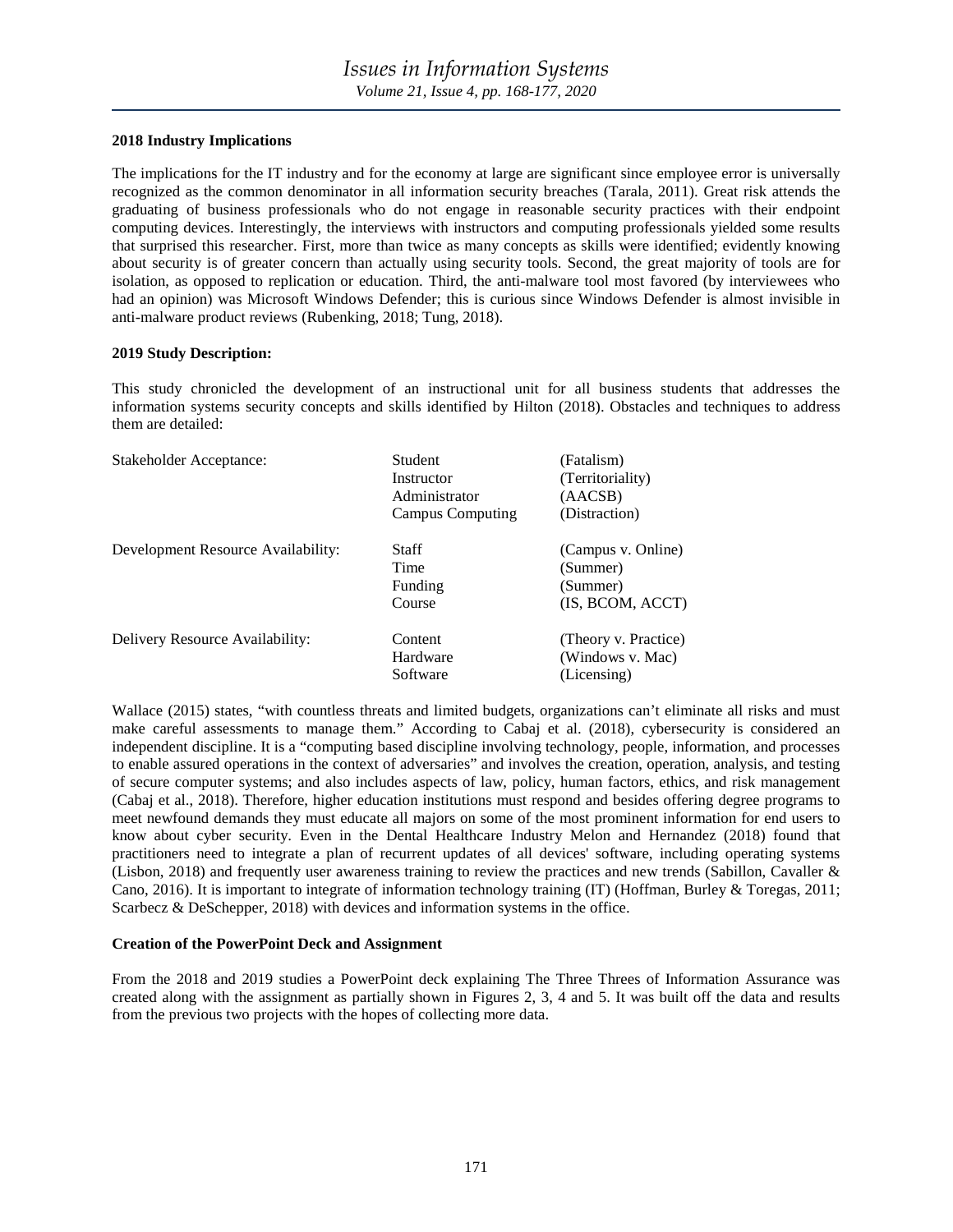#### **2018 Industry Implications**

The implications for the IT industry and for the economy at large are significant since employee error is universally recognized as the common denominator in all information security breaches (Tarala, 2011). Great risk attends the graduating of business professionals who do not engage in reasonable security practices with their endpoint computing devices. Interestingly, the interviews with instructors and computing professionals yielded some results that surprised this researcher. First, more than twice as many concepts as skills were identified; evidently knowing about security is of greater concern than actually using security tools. Second, the great majority of tools are for isolation, as opposed to replication or education. Third, the anti-malware tool most favored (by interviewees who had an opinion) was Microsoft Windows Defender; this is curious since Windows Defender is almost invisible in anti-malware product reviews (Rubenking, 2018; Tung, 2018).

#### **2019 Study Description:**

This study chronicled the development of an instructional unit for all business students that addresses the information systems security concepts and skills identified by Hilton (2018). Obstacles and techniques to address them are detailed:

| Stakeholder Acceptance:            | <b>Student</b><br>Instructor<br>Administrator<br>Campus Computing | (Fatalism)<br>(Territoriality)<br>(AACSB)<br>(Distraction)     |
|------------------------------------|-------------------------------------------------------------------|----------------------------------------------------------------|
| Development Resource Availability: | Staff<br>Time<br>Funding<br>Course                                | (Campus v. Online)<br>(Summer)<br>(Summer)<br>(IS, BCOM, ACCT) |
| Delivery Resource Availability:    | Content<br>Hardware<br>Software                                   | (Theory v. Practice)<br>(Windows v. Mac)<br>(Licensing)        |

Wallace (2015) states, "with countless threats and limited budgets, organizations can't eliminate all risks and must make careful assessments to manage them." According to Cabaj et al. (2018), cybersecurity is considered an independent discipline. It is a "computing based discipline involving technology, people, information, and processes to enable assured operations in the context of adversaries" and involves the creation, operation, analysis, and testing of secure computer systems; and also includes aspects of law, policy, human factors, ethics, and risk management (Cabaj et al., 2018). Therefore, higher education institutions must respond and besides offering degree programs to meet newfound demands they must educate all majors on some of the most prominent information for end users to know about cyber security. Even in the Dental Healthcare Industry Melon and Hernandez (2018) found that practitioners need to integrate a plan of recurrent updates of all devices' software, including operating systems (Lisbon, 2018) and frequently user awareness training to review the practices and new trends (Sabillon, Cavaller & Cano, 2016). It is important to integrate of information technology training (IT) (Hoffman, Burley & Toregas, 2011; Scarbecz & DeSchepper, 2018) with devices and information systems in the office.

#### **Creation of the PowerPoint Deck and Assignment**

From the 2018 and 2019 studies a PowerPoint deck explaining The Three Threes of Information Assurance was created along with the assignment as partially shown in Figures 2, 3, 4 and 5. It was built off the data and results from the previous two projects with the hopes of collecting more data.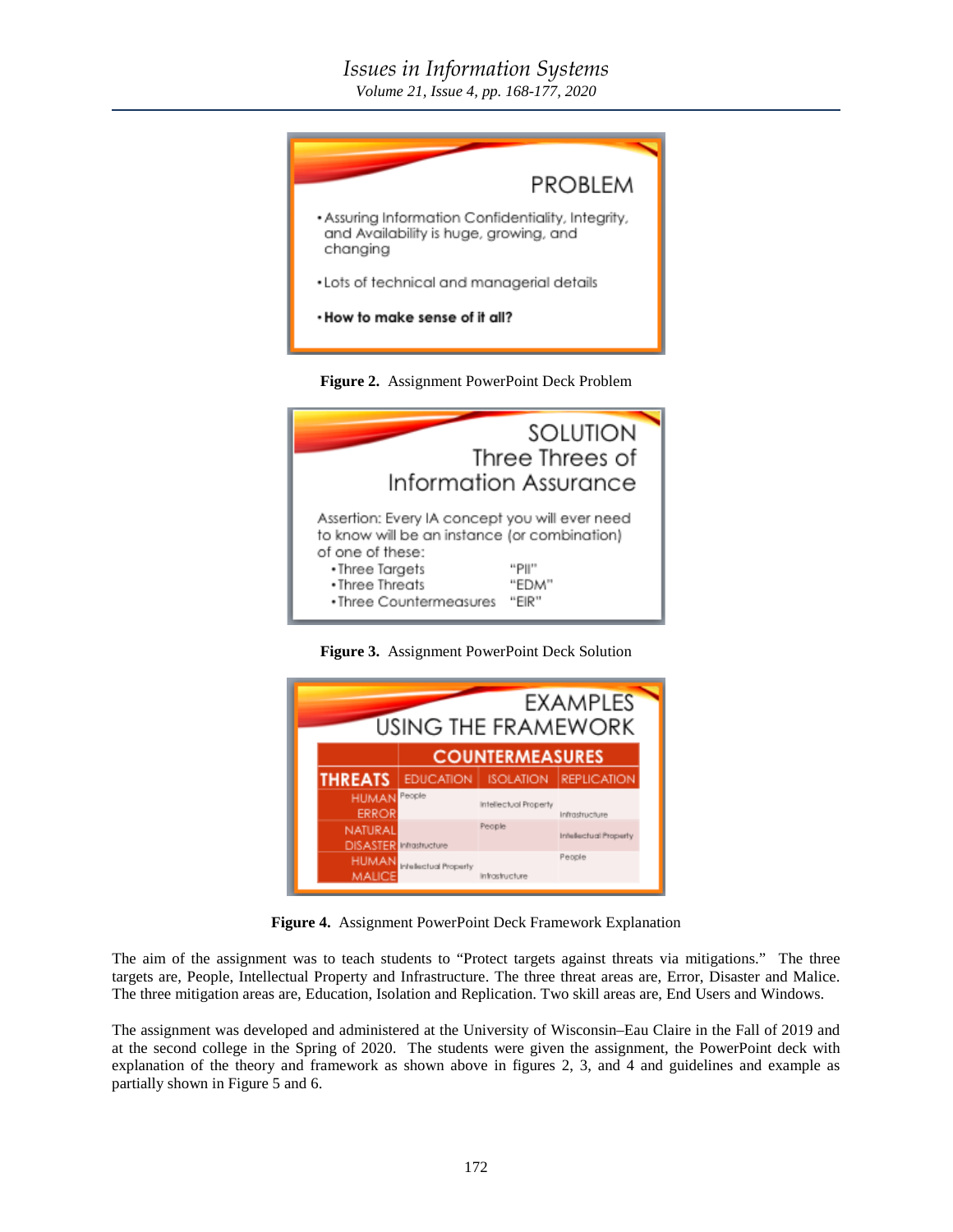## *Issues in Information Systems*

*Volume 21, Issue 4, pp. 168-177, 2020*





**Figure 3.** Assignment PowerPoint Deck Solution



**Figure 4.** Assignment PowerPoint Deck Framework Explanation

The aim of the assignment was to teach students to "Protect targets against threats via mitigations." The three targets are, People, Intellectual Property and Infrastructure. The three threat areas are, Error, Disaster and Malice. The three mitigation areas are, Education, Isolation and Replication. Two skill areas are, End Users and Windows.

The assignment was developed and administered at the University of Wisconsin–Eau Claire in the Fall of 2019 and at the second college in the Spring of 2020. The students were given the assignment, the PowerPoint deck with explanation of the theory and framework as shown above in figures 2, 3, and 4 and guidelines and example as partially shown in Figure 5 and 6.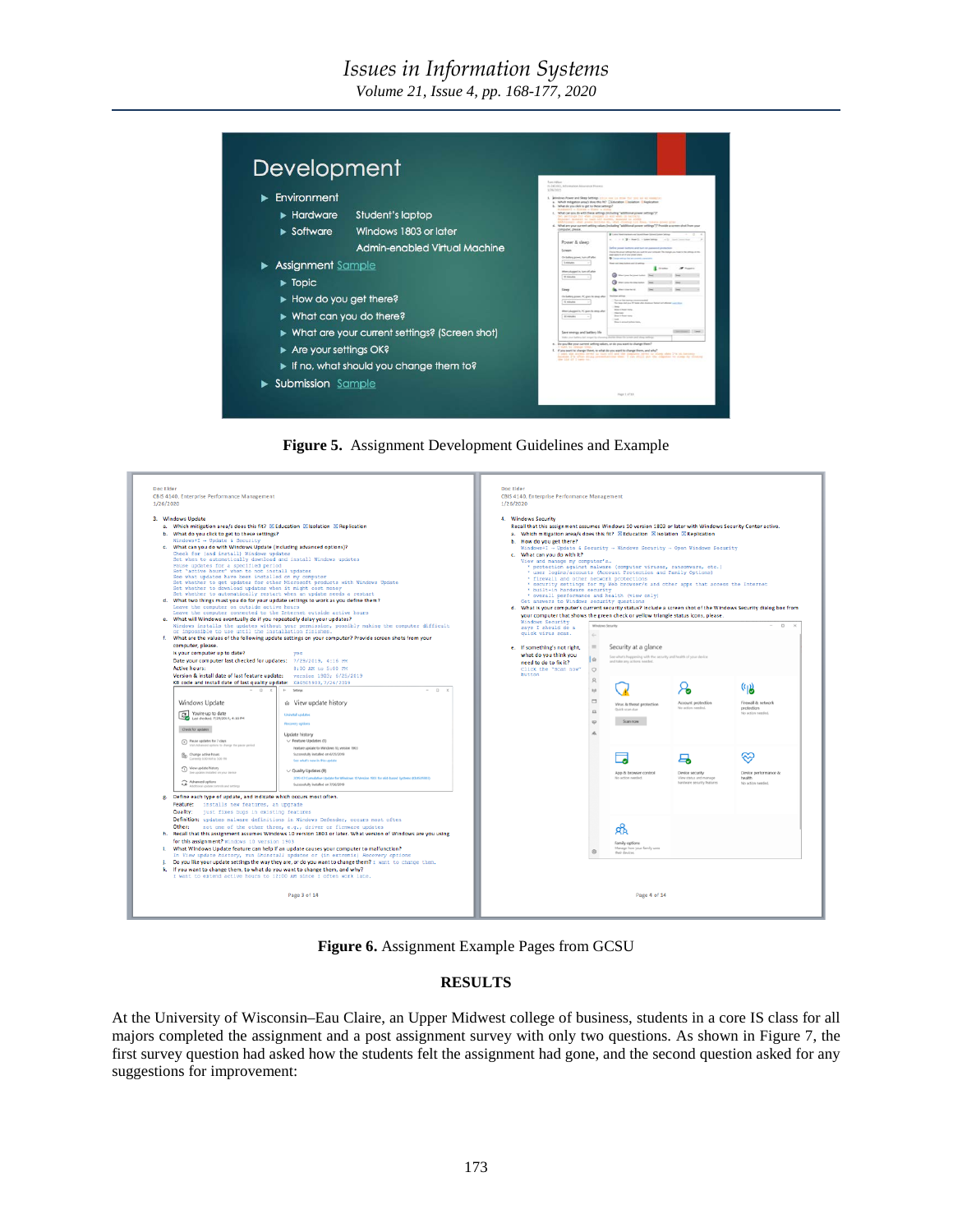## *Issues in Information Systems*

*Volume 21, Issue 4, pp. 168-177, 2020*



**Figure 5.** Assignment Development Guidelines and Example



**Figure 6.** Assignment Example Pages from GCSU

#### **RESULTS**

At the University of Wisconsin–Eau Claire, an Upper Midwest college of business, students in a core IS class for all majors completed the assignment and a post assignment survey with only two questions. As shown in Figure 7, the first survey question had asked how the students felt the assignment had gone, and the second question asked for any suggestions for improvement: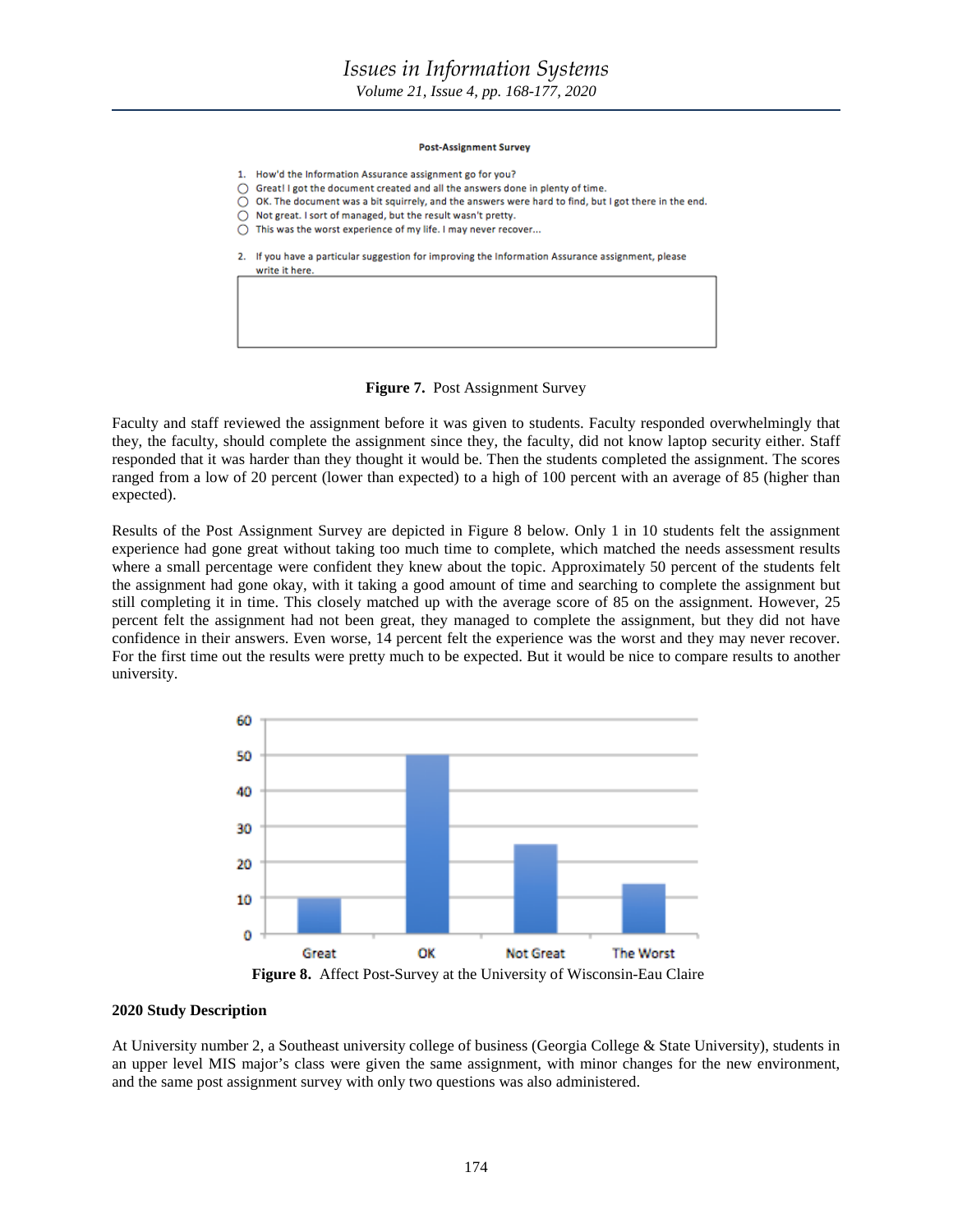*Volume 21, Issue 4, pp. 168-177, 2020*

#### **Post-Assignment Survey**

- 1. How'd the Information Assurance assignment go for you?
- Great! I got the document created and all the answers done in plenty of time. Ο
- OK. The document was a bit squirrely, and the answers were hard to find, but I got there in the end.
- $\overline{\bigcirc}$  Not great. I sort of managed, but the result wasn't pretty.
- This was the worst experience of my life. I may never recover...

write it here.

2. If you have a particular suggestion for improving the Information Assurance assignment, please

#### **Figure 7.** Post Assignment Survey

Faculty and staff reviewed the assignment before it was given to students. Faculty responded overwhelmingly that they, the faculty, should complete the assignment since they, the faculty, did not know laptop security either. Staff responded that it was harder than they thought it would be. Then the students completed the assignment. The scores ranged from a low of 20 percent (lower than expected) to a high of 100 percent with an average of 85 (higher than expected).

Results of the Post Assignment Survey are depicted in Figure 8 below. Only 1 in 10 students felt the assignment experience had gone great without taking too much time to complete, which matched the needs assessment results where a small percentage were confident they knew about the topic. Approximately 50 percent of the students felt the assignment had gone okay, with it taking a good amount of time and searching to complete the assignment but still completing it in time. This closely matched up with the average score of 85 on the assignment. However, 25 percent felt the assignment had not been great, they managed to complete the assignment, but they did not have confidence in their answers. Even worse, 14 percent felt the experience was the worst and they may never recover. For the first time out the results were pretty much to be expected. But it would be nice to compare results to another university.



**Figure 8.** Affect Post-Survey at the University of Wisconsin-Eau Claire

#### **2020 Study Description**

At University number 2, a Southeast university college of business (Georgia College & State University), students in an upper level MIS major's class were given the same assignment, with minor changes for the new environment, and the same post assignment survey with only two questions was also administered.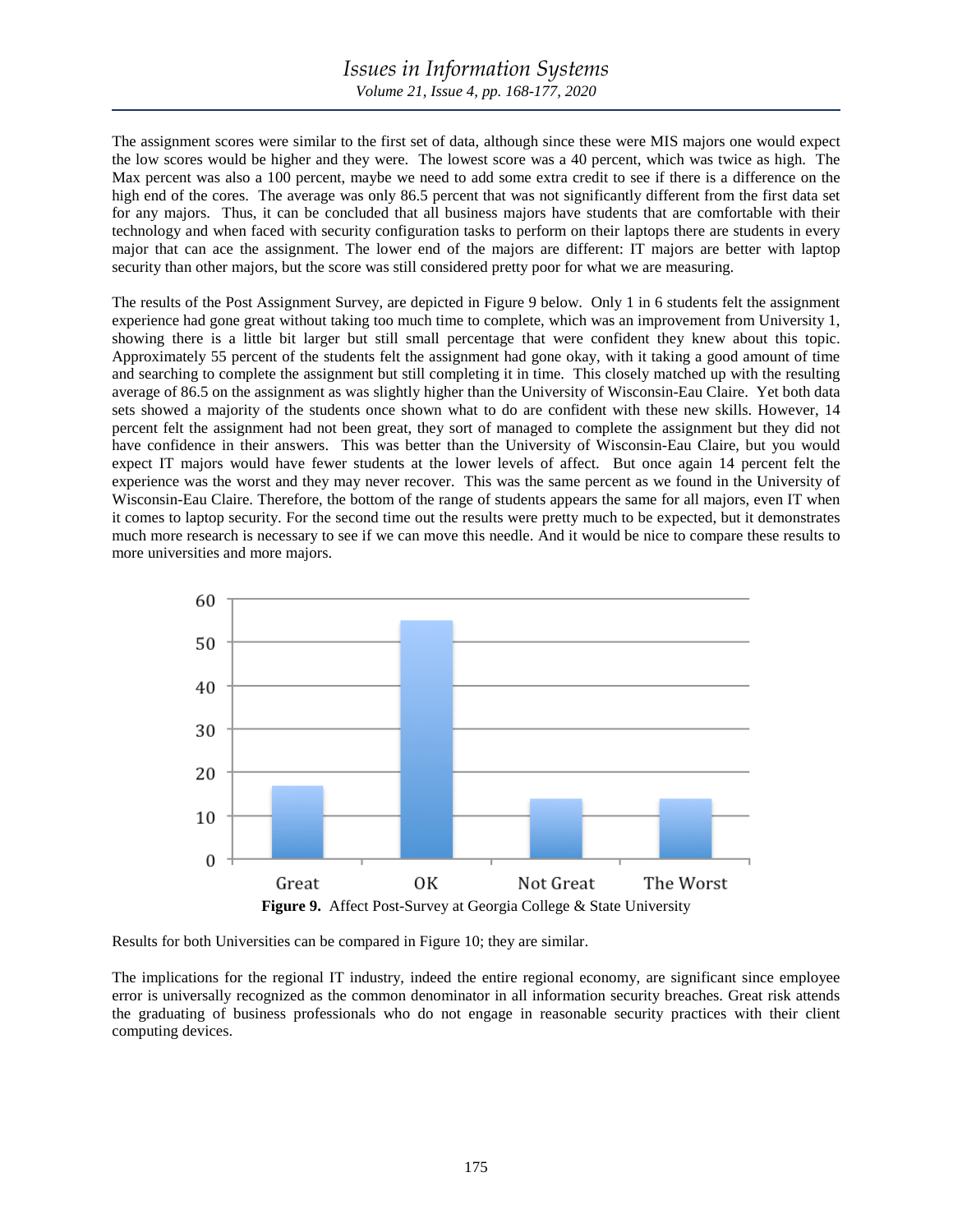The assignment scores were similar to the first set of data, although since these were MIS majors one would expect the low scores would be higher and they were. The lowest score was a 40 percent, which was twice as high. The Max percent was also a 100 percent, maybe we need to add some extra credit to see if there is a difference on the high end of the cores. The average was only 86.5 percent that was not significantly different from the first data set for any majors. Thus, it can be concluded that all business majors have students that are comfortable with their technology and when faced with security configuration tasks to perform on their laptops there are students in every major that can ace the assignment. The lower end of the majors are different: IT majors are better with laptop security than other majors, but the score was still considered pretty poor for what we are measuring.

The results of the Post Assignment Survey, are depicted in Figure 9 below. Only 1 in 6 students felt the assignment experience had gone great without taking too much time to complete, which was an improvement from University 1, showing there is a little bit larger but still small percentage that were confident they knew about this topic. Approximately 55 percent of the students felt the assignment had gone okay, with it taking a good amount of time and searching to complete the assignment but still completing it in time. This closely matched up with the resulting average of 86.5 on the assignment as was slightly higher than the University of Wisconsin-Eau Claire. Yet both data sets showed a majority of the students once shown what to do are confident with these new skills. However, 14 percent felt the assignment had not been great, they sort of managed to complete the assignment but they did not have confidence in their answers. This was better than the University of Wisconsin-Eau Claire, but you would expect IT majors would have fewer students at the lower levels of affect. But once again 14 percent felt the experience was the worst and they may never recover. This was the same percent as we found in the University of Wisconsin-Eau Claire. Therefore, the bottom of the range of students appears the same for all majors, even IT when it comes to laptop security. For the second time out the results were pretty much to be expected, but it demonstrates much more research is necessary to see if we can move this needle. And it would be nice to compare these results to more universities and more majors.



Results for both Universities can be compared in Figure 10; they are similar.

The implications for the regional IT industry, indeed the entire regional economy, are significant since employee error is universally recognized as the common denominator in all information security breaches. Great risk attends the graduating of business professionals who do not engage in reasonable security practices with their client computing devices.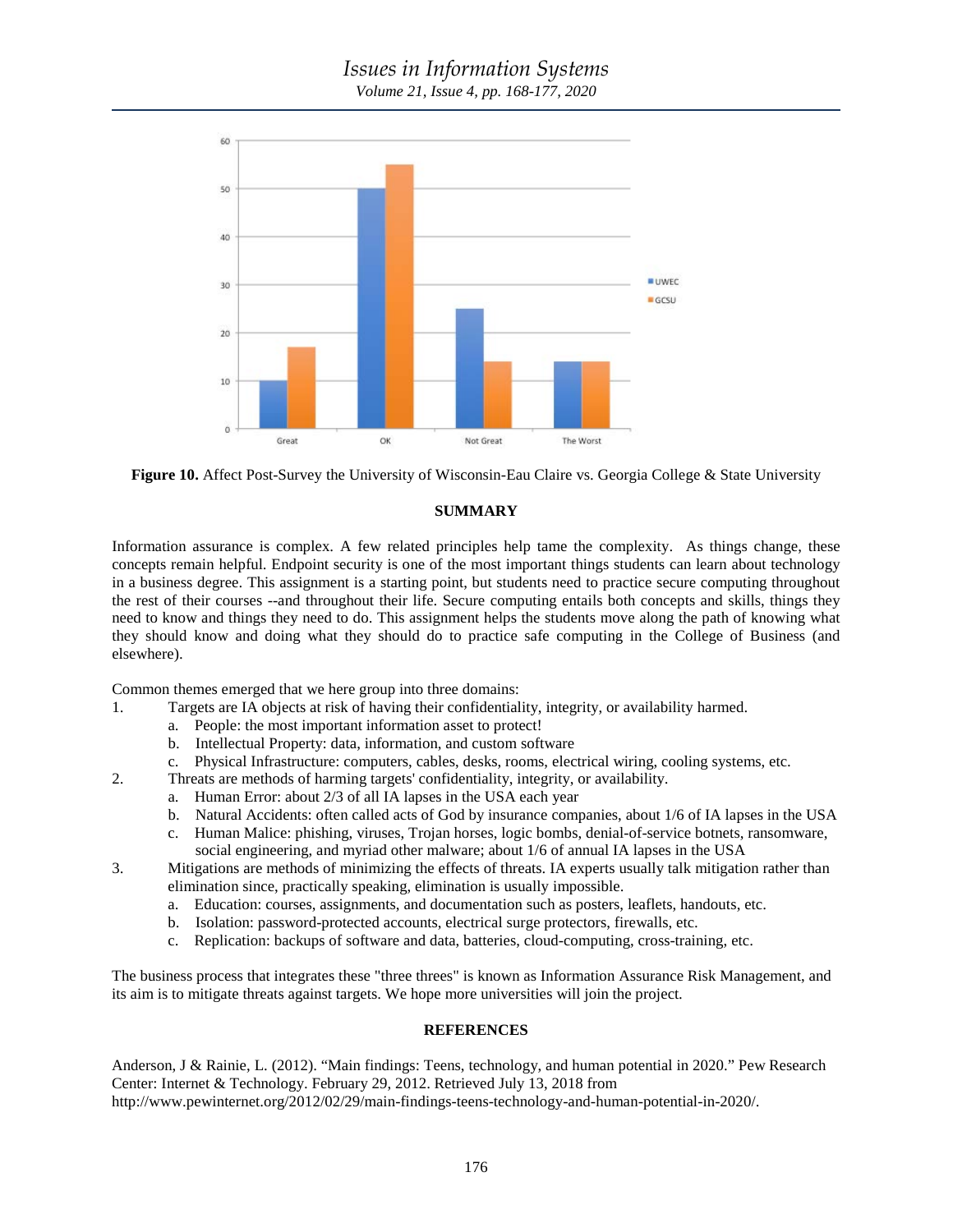



#### **SUMMARY**

Information assurance is complex. A few related principles help tame the complexity. As things change, these concepts remain helpful. Endpoint security is one of the most important things students can learn about technology in a business degree. This assignment is a starting point, but students need to practice secure computing throughout the rest of their courses --and throughout their life. Secure computing entails both concepts and skills, things they need to know and things they need to do. This assignment helps the students move along the path of knowing what they should know and doing what they should do to practice safe computing in the College of Business (and elsewhere).

Common themes emerged that we here group into three domains:

- 1. Targets are IA objects at risk of having their confidentiality, integrity, or availability harmed.
	- a. People: the most important information asset to protect!
	- b. Intellectual Property: data, information, and custom software
	- c. Physical Infrastructure: computers, cables, desks, rooms, electrical wiring, cooling systems, etc.
- 2. Threats are methods of harming targets' confidentiality, integrity, or availability.
	- a. Human Error: about 2/3 of all IA lapses in the USA each year
	- b. Natural Accidents: often called acts of God by insurance companies, about 1/6 of IA lapses in the USA
	- c. Human Malice: phishing, viruses, Trojan horses, logic bombs, denial-of-service botnets, ransomware, social engineering, and myriad other malware; about 1/6 of annual IA lapses in the USA
- 3. Mitigations are methods of minimizing the effects of threats. IA experts usually talk mitigation rather than elimination since, practically speaking, elimination is usually impossible.
	- a. Education: courses, assignments, and documentation such as posters, leaflets, handouts, etc.
	- b. Isolation: password-protected accounts, electrical surge protectors, firewalls, etc.
	- c. Replication: backups of software and data, batteries, cloud-computing, cross-training, etc.

The business process that integrates these "three threes" is known as Information Assurance Risk Management, and its aim is to mitigate threats against targets. We hope more universities will join the project.

#### **REFERENCES**

Anderson, J & Rainie, L. (2012). "Main findings: Teens, technology, and human potential in 2020." Pew Research Center: Internet & Technology. February 29, 2012. Retrieved July 13, 2018 from http://www.pewinternet.org/2012/02/29/main-findings-teens-technology-and-human-potential-in-2020/.